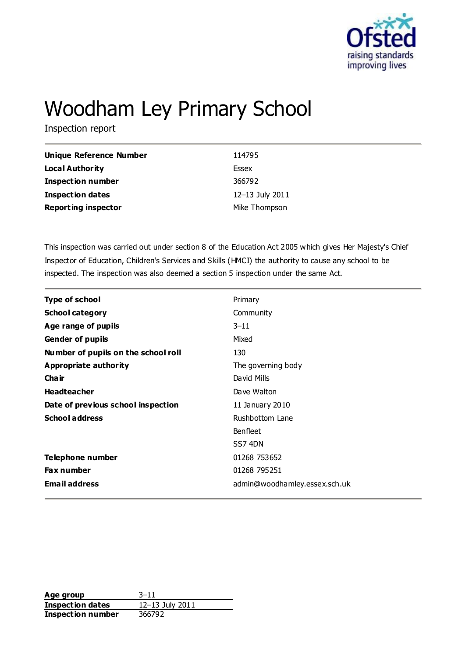

# Woodham Ley Primary School

Inspection report

| <b>Unique Reference Number</b> | 114795          |
|--------------------------------|-----------------|
| <b>Local Authority</b>         | Essex           |
| <b>Inspection number</b>       | 366792          |
| Inspection dates               | 12-13 July 2011 |
| <b>Reporting inspector</b>     | Mike Thompson   |

This inspection was carried out under section 8 of the Education Act 2005 which gives Her Majesty's Chief Inspector of Education, Children's Services and Skills (HMCI) the authority to cause any school to be inspected. The inspection was also deemed a section 5 inspection under the same Act.

| <b>Type of school</b>               | Primary                       |
|-------------------------------------|-------------------------------|
| <b>School category</b>              | Community                     |
| Age range of pupils                 | $3 - 11$                      |
| <b>Gender of pupils</b>             | Mixed                         |
| Number of pupils on the school roll | 130                           |
| <b>Appropriate authority</b>        | The governing body            |
| Cha ir                              | David Mills                   |
| <b>Headteacher</b>                  | Dave Walton                   |
| Date of previous school inspection  | 11 January 2010               |
| <b>School address</b>               | Rushbottom Lane               |
|                                     | <b>Benfleet</b>               |
|                                     | SS74DN                        |
| Telephone number                    | 01268 753652                  |
| <b>Fax number</b>                   | 01268 795251                  |
| <b>Email address</b>                | admin@woodhamley.essex.sch.uk |

Age group 3–11 **Inspection dates** 12–13 July 2011 **Inspection number** 366792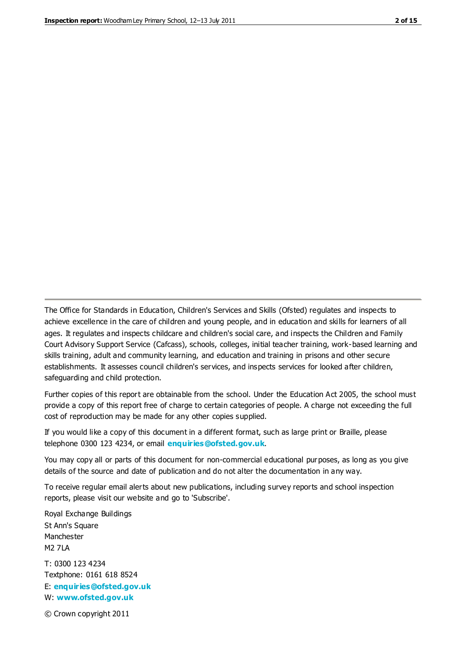The Office for Standards in Education, Children's Services and Skills (Ofsted) regulates and inspects to achieve excellence in the care of children and young people, and in education and skills for learners of all ages. It regulates and inspects childcare and children's social care, and inspects the Children and Family Court Advisory Support Service (Cafcass), schools, colleges, initial teacher training, work-based learning and skills training, adult and community learning, and education and training in prisons and other secure establishments. It assesses council children's services, and inspects services for looked after children, safeguarding and child protection.

Further copies of this report are obtainable from the school. Under the Education Act 2005, the school must provide a copy of this report free of charge to certain categories of people. A charge not exceeding the full cost of reproduction may be made for any other copies supplied.

If you would like a copy of this document in a different format, such as large print or Braille, please telephone 0300 123 4234, or email **[enquiries@ofsted.gov.uk](mailto:enquiries@ofsted.gov.uk)**.

You may copy all or parts of this document for non-commercial educational purposes, as long as you give details of the source and date of publication and do not alter the documentation in any way.

To receive regular email alerts about new publications, including survey reports and school inspection reports, please visit our website and go to 'Subscribe'.

Royal Exchange Buildings St Ann's Square Manchester M2 7LA T: 0300 123 4234 Textphone: 0161 618 8524 E: **[enquiries@ofsted.gov.uk](mailto:enquiries@ofsted.gov.uk)**

W: **[www.ofsted.gov.uk](http://www.ofsted.gov.uk/)**

© Crown copyright 2011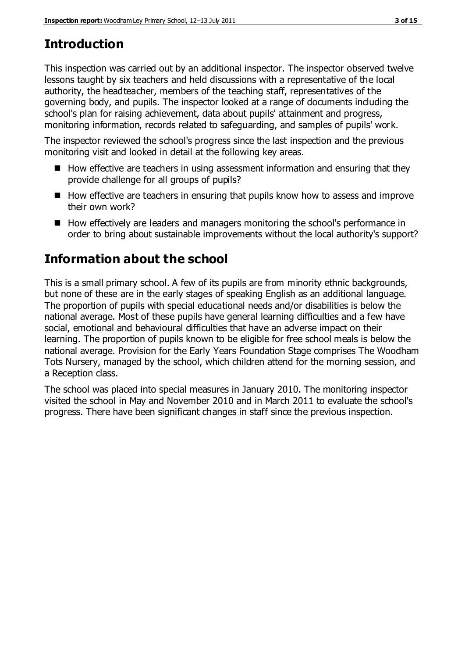# **Introduction**

This inspection was carried out by an additional inspector. The inspector observed twelve lessons taught by six teachers and held discussions with a representative of the local authority, the headteacher, members of the teaching staff, representatives of the governing body, and pupils. The inspector looked at a range of documents including the school's plan for raising achievement, data about pupils' attainment and progress, monitoring information, records related to safeguarding, and samples of pupils' work.

The inspector reviewed the school's progress since the last inspection and the previous monitoring visit and looked in detail at the following key areas.

- How effective are teachers in using assessment information and ensuring that they provide challenge for all groups of pupils?
- How effective are teachers in ensuring that pupils know how to assess and improve their own work?
- How effectively are leaders and managers monitoring the school's performance in order to bring about sustainable improvements without the local authority's support?

# **Information about the school**

This is a small primary school. A few of its pupils are from minority ethnic backgrounds, but none of these are in the early stages of speaking English as an additional language. The proportion of pupils with special educational needs and/or disabilities is below the national average. Most of these pupils have general learning difficulties and a few have social, emotional and behavioural difficulties that have an adverse impact on their learning. The proportion of pupils known to be eligible for free school meals is below the national average. Provision for the Early Years Foundation Stage comprises The Woodham Tots Nursery, managed by the school, which children attend for the morning session, and a Reception class.

The school was placed into special measures in January 2010. The monitoring inspector visited the school in May and November 2010 and in March 2011 to evaluate the school's progress. There have been significant changes in staff since the previous inspection.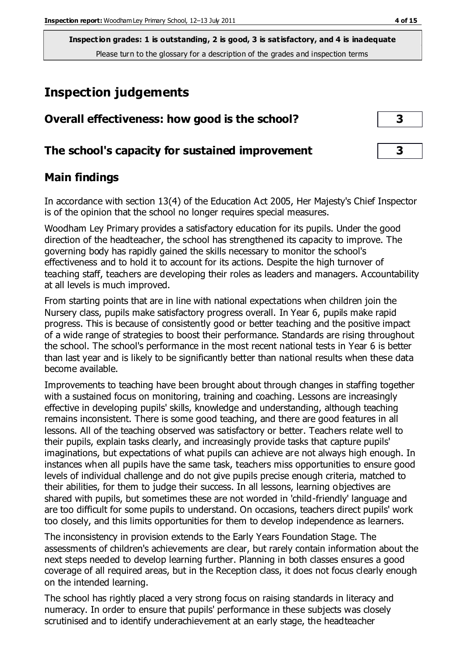**Inspection grades: 1 is outstanding, 2 is good, 3 is satisfactory, and 4 is inadequate** Please turn to the glossary for a description of the grades and inspection terms

# **Inspection judgements**

| Overall effectiveness: how good is the school?  | 3 |  |
|-------------------------------------------------|---|--|
| The school's capacity for sustained improvement |   |  |

#### **Main findings**

In accordance with section 13(4) of the Education Act 2005, Her Majesty's Chief Inspector is of the opinion that the school no longer requires special measures.

Woodham Ley Primary provides a satisfactory education for its pupils. Under the good direction of the headteacher, the school has strengthened its capacity to improve. The governing body has rapidly gained the skills necessary to monitor the school's effectiveness and to hold it to account for its actions. Despite the high turnover of teaching staff, teachers are developing their roles as leaders and managers. Accountability at all levels is much improved.

From starting points that are in line with national expectations when children join the Nursery class, pupils make satisfactory progress overall. In Year 6, pupils make rapid progress. This is because of consistently good or better teaching and the positive impact of a wide range of strategies to boost their performance. Standards are rising throughout the school. The school's performance in the most recent national tests in Year 6 is better than last year and is likely to be significantly better than national results when these data become available.

Improvements to teaching have been brought about through changes in staffing together with a sustained focus on monitoring, training and coaching. Lessons are increasingly effective in developing pupils' skills, knowledge and understanding, although teaching remains inconsistent. There is some good teaching, and there are good features in all lessons. All of the teaching observed was satisfactory or better. Teachers relate well to their pupils, explain tasks clearly, and increasingly provide tasks that capture pupils' imaginations, but expectations of what pupils can achieve are not always high enough. In instances when all pupils have the same task, teachers miss opportunities to ensure good levels of individual challenge and do not give pupils precise enough criteria, matched to their abilities, for them to judge their success. In all lessons, learning objectives are shared with pupils, but sometimes these are not worded in 'child-friendly' language and are too difficult for some pupils to understand. On occasions, teachers direct pupils' work too closely, and this limits opportunities for them to develop independence as learners.

The inconsistency in provision extends to the Early Years Foundation Stage. The assessments of children's achievements are clear, but rarely contain information about the next steps needed to develop learning further. Planning in both classes ensures a good coverage of all required areas, but in the Reception class, it does not focus clearly enough on the intended learning.

The school has rightly placed a very strong focus on raising standards in literacy and numeracy. In order to ensure that pupils' performance in these subjects was closely scrutinised and to identify underachievement at an early stage, the headteacher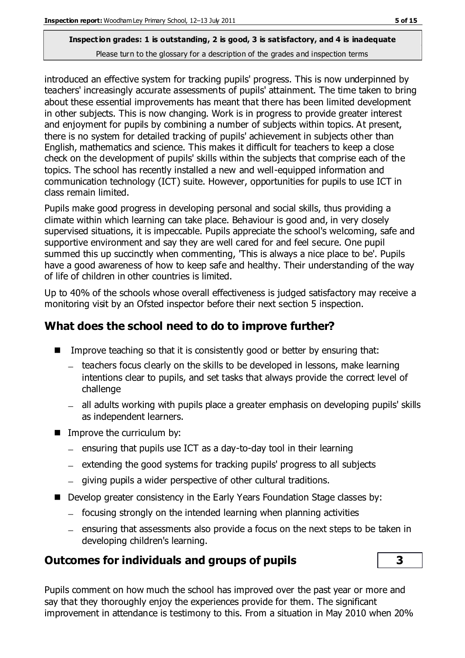#### **Inspection grades: 1 is outstanding, 2 is good, 3 is satisfactory, and 4 is inadequate** Please turn to the glossary for a description of the grades and inspection terms

introduced an effective system for tracking pupils' progress. This is now underpinned by teachers' increasingly accurate assessments of pupils' attainment. The time taken to bring about these essential improvements has meant that there has been limited development in other subjects. This is now changing. Work is in progress to provide greater interest and enjoyment for pupils by combining a number of subjects within topics. At present, there is no system for detailed tracking of pupils' achievement in subjects other than English, mathematics and science. This makes it difficult for teachers to keep a close check on the development of pupils' skills within the subjects that comprise each of the topics. The school has recently installed a new and well-equipped information and communication technology (ICT) suite. However, opportunities for pupils to use ICT in class remain limited.

Pupils make good progress in developing personal and social skills, thus providing a climate within which learning can take place. Behaviour is good and, in very closely supervised situations, it is impeccable. Pupils appreciate the school's welcoming, safe and supportive environment and say they are well cared for and feel secure. One pupil summed this up succinctly when commenting, 'This is always a nice place to be'. Pupils have a good awareness of how to keep safe and healthy. Their understanding of the way of life of children in other countries is limited.

Up to 40% of the schools whose overall effectiveness is judged satisfactory may receive a monitoring visit by an Ofsted inspector before their next section 5 inspection.

## **What does the school need to do to improve further?**

- Improve teaching so that it is consistently good or better by ensuring that:
	- teachers focus clearly on the skills to be developed in lessons, make learning intentions clear to pupils, and set tasks that always provide the correct level of challenge
	- all adults working with pupils place a greater emphasis on developing pupils' skills as independent learners.
- $\blacksquare$  Improve the curriculum by:
	- $=$  ensuring that pupils use ICT as a day-to-day tool in their learning
	- $-$  extending the good systems for tracking pupils' progress to all subjects
	- giving pupils a wider perspective of other cultural traditions.
- Develop greater consistency in the Early Years Foundation Stage classes by:
	- focusing strongly on the intended learning when planning activities
	- $-$  ensuring that assessments also provide a focus on the next steps to be taken in developing children's learning.

#### **Outcomes for individuals and groups of pupils 3**

Pupils comment on how much the school has improved over the past year or more and say that they thoroughly enjoy the experiences provide for them. The significant improvement in attendance is testimony to this. From a situation in May 2010 when 20%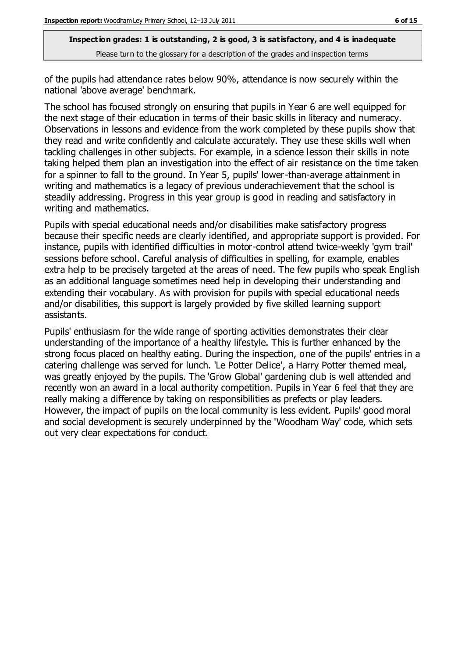**Inspection grades: 1 is outstanding, 2 is good, 3 is satisfactory, and 4 is inadequate** Please turn to the glossary for a description of the grades and inspection terms

of the pupils had attendance rates below 90%, attendance is now securely within the national 'above average' benchmark.

The school has focused strongly on ensuring that pupils in Year 6 are well equipped for the next stage of their education in terms of their basic skills in literacy and numeracy. Observations in lessons and evidence from the work completed by these pupils show that they read and write confidently and calculate accurately. They use these skills well when tackling challenges in other subjects. For example, in a science lesson their skills in note taking helped them plan an investigation into the effect of air resistance on the time taken for a spinner to fall to the ground. In Year 5, pupils' lower-than-average attainment in writing and mathematics is a legacy of previous underachievement that the school is steadily addressing. Progress in this year group is good in reading and satisfactory in writing and mathematics.

Pupils with special educational needs and/or disabilities make satisfactory progress because their specific needs are clearly identified, and appropriate support is provided. For instance, pupils with identified difficulties in motor-control attend twice-weekly 'gym trail' sessions before school. Careful analysis of difficulties in spelling, for example, enables extra help to be precisely targeted at the areas of need. The few pupils who speak English as an additional language sometimes need help in developing their understanding and extending their vocabulary. As with provision for pupils with special educational needs and/or disabilities, this support is largely provided by five skilled learning support assistants.

Pupils' enthusiasm for the wide range of sporting activities demonstrates their clear understanding of the importance of a healthy lifestyle. This is further enhanced by the strong focus placed on healthy eating. During the inspection, one of the pupils' entries in a catering challenge was served for lunch. 'Le Potter Delice', a Harry Potter themed meal, was greatly enjoyed by the pupils. The 'Grow Global' gardening club is well attended and recently won an award in a local authority competition. Pupils in Year 6 feel that they are really making a difference by taking on responsibilities as prefects or play leaders. However, the impact of pupils on the local community is less evident. Pupils' good moral and social development is securely underpinned by the 'Woodham Way' code, which sets out very clear expectations for conduct.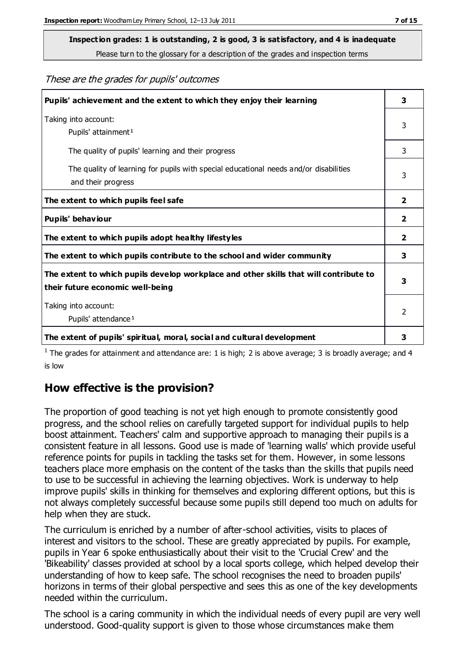Please turn to the glossary for a description of the grades and inspection terms

These are the grades for pupils' outcomes

| Pupils' achievement and the extent to which they enjoy their learning                                                     | 3              |
|---------------------------------------------------------------------------------------------------------------------------|----------------|
| Taking into account:<br>Pupils' attainment <sup>1</sup>                                                                   | 3              |
| The quality of pupils' learning and their progress                                                                        | 3              |
| The quality of learning for pupils with special educational needs and/or disabilities<br>and their progress               | 3              |
| The extent to which pupils feel safe                                                                                      | $\overline{2}$ |
| Pupils' behaviour                                                                                                         | 2              |
| The extent to which pupils adopt healthy lifestyles                                                                       | 2              |
| The extent to which pupils contribute to the school and wider community                                                   | 3              |
| The extent to which pupils develop workplace and other skills that will contribute to<br>their future economic well-being | 3              |
| Taking into account:<br>Pupils' attendance <sup>1</sup>                                                                   | $\mathfrak{p}$ |
| The extent of pupils' spiritual, moral, social and cultural development                                                   | 3              |

<sup>1</sup> The grades for attainment and attendance are: 1 is high; 2 is above average; 3 is broadly average; and 4 is low

# **How effective is the provision?**

The proportion of good teaching is not yet high enough to promote consistently good progress, and the school relies on carefully targeted support for individual pupils to help boost attainment. Teachers' calm and supportive approach to managing their pupils is a consistent feature in all lessons. Good use is made of 'learning walls' which provide useful reference points for pupils in tackling the tasks set for them. However, in some lessons teachers place more emphasis on the content of the tasks than the skills that pupils need to use to be successful in achieving the learning objectives. Work is underway to help improve pupils' skills in thinking for themselves and exploring different options, but this is not always completely successful because some pupils still depend too much on adults for help when they are stuck.

The curriculum is enriched by a number of after-school activities, visits to places of interest and visitors to the school. These are greatly appreciated by pupils. For example, pupils in Year 6 spoke enthusiastically about their visit to the 'Crucial Crew' and the 'Bikeability' classes provided at school by a local sports college, which helped develop their understanding of how to keep safe. The school recognises the need to broaden pupils' horizons in terms of their global perspective and sees this as one of the key developments needed within the curriculum.

The school is a caring community in which the individual needs of every pupil are very well understood. Good-quality support is given to those whose circumstances make them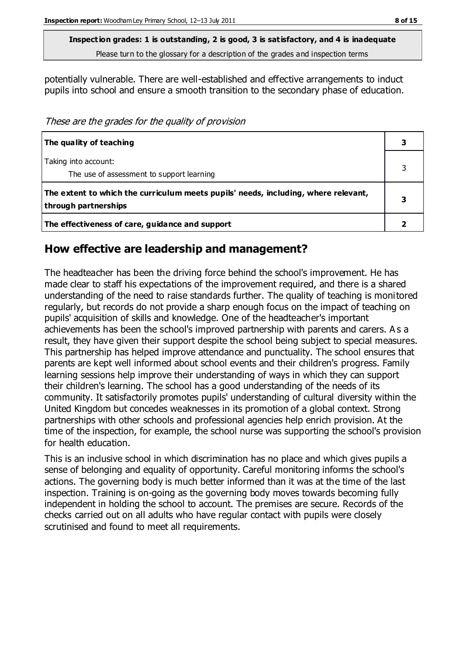Please turn to the glossary for a description of the grades and inspection terms

potentially vulnerable. There are well-established and effective arrangements to induct pupils into school and ensure a smooth transition to the secondary phase of education.

These are the grades for the quality of provision

| The quality of teaching                                                                                    |  |
|------------------------------------------------------------------------------------------------------------|--|
| Taking into account:<br>The use of assessment to support learning                                          |  |
| The extent to which the curriculum meets pupils' needs, including, where relevant,<br>through partnerships |  |
| The effectiveness of care, guidance and support                                                            |  |

#### **How effective are leadership and management?**

The headteacher has been the driving force behind the school's improvement. He has made clear to staff his expectations of the improvement required, and there is a shared understanding of the need to raise standards further. The quality of teaching is monitored regularly, but records do not provide a sharp enough focus on the impact of teaching on pupils' acquisition of skills and knowledge. One of the headteacher's important achievements has been the school's improved partnership with parents and carers. A s a result, they have given their support despite the school being subject to special measures. This partnership has helped improve attendance and punctuality. The school ensures that parents are kept well informed about school events and their children's progress. Family learning sessions help improve their understanding of ways in which they can support their children's learning. The school has a good understanding of the needs of its community. It satisfactorily promotes pupils' understanding of cultural diversity within the United Kingdom but concedes weaknesses in its promotion of a global context. Strong partnerships with other schools and professional agencies help enrich provision. At the time of the inspection, for example, the school nurse was supporting the school's provision for health education.

This is an inclusive school in which discrimination has no place and which gives pupils a sense of belonging and equality of opportunity. Careful monitoring informs the school's actions. The governing body is much better informed than it was at the time of the last inspection. Training is on-going as the governing body moves towards becoming fully independent in holding the school to account. The premises are secure. Records of the checks carried out on all adults who have regular contact with pupils were closely scrutinised and found to meet all requirements.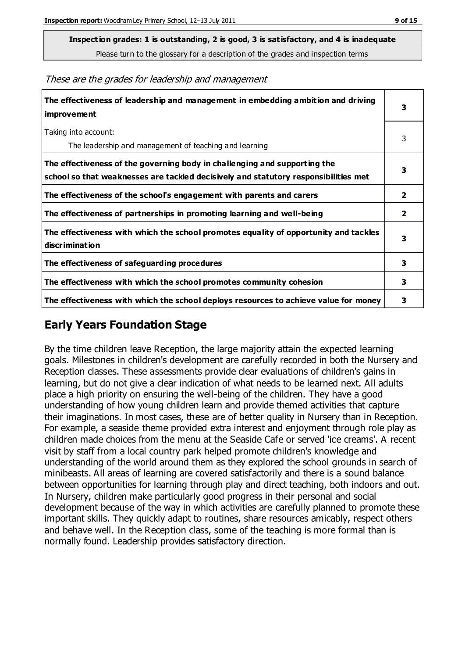Please turn to the glossary for a description of the grades and inspection terms

| The effectiveness of leadership and management in embedding ambition and driving<br><i>improvement</i>                                                           | 3              |
|------------------------------------------------------------------------------------------------------------------------------------------------------------------|----------------|
| Taking into account:<br>The leadership and management of teaching and learning                                                                                   | 3              |
| The effectiveness of the governing body in challenging and supporting the<br>school so that weaknesses are tackled decisively and statutory responsibilities met | 3              |
| The effectiveness of the school's engagement with parents and carers                                                                                             | $\overline{2}$ |
| The effectiveness of partnerships in promoting learning and well-being                                                                                           | $\mathbf{2}$   |
| The effectiveness with which the school promotes equality of opportunity and tackles<br>discrimination                                                           | 3              |
| The effectiveness of safeguarding procedures                                                                                                                     | 3              |
| The effectiveness with which the school promotes community cohesion                                                                                              | 3              |
| The effectiveness with which the school deploys resources to achieve value for money                                                                             | 3              |
|                                                                                                                                                                  |                |

These are the grades for leadership and management

#### **Early Years Foundation Stage**

By the time children leave Reception, the large majority attain the expected learning goals. Milestones in children's development are carefully recorded in both the Nursery and Reception classes. These assessments provide clear evaluations of children's gains in learning, but do not give a clear indication of what needs to be learned next. All adults place a high priority on ensuring the well-being of the children. They have a good understanding of how young children learn and provide themed activities that capture their imaginations. In most cases, these are of better quality in Nursery than in Reception. For example, a seaside theme provided extra interest and enjoyment through role play as children made choices from the menu at the Seaside Cafe or served 'ice creams'. A recent visit by staff from a local country park helped promote children's knowledge and understanding of the world around them as they explored the school grounds in search of minibeasts. All areas of learning are covered satisfactorily and there is a sound balance between opportunities for learning through play and direct teaching, both indoors and out. In Nursery, children make particularly good progress in their personal and social development because of the way in which activities are carefully planned to promote these important skills. They quickly adapt to routines, share resources amicably, respect others and behave well. In the Reception class, some of the teaching is more formal than is normally found. Leadership provides satisfactory direction.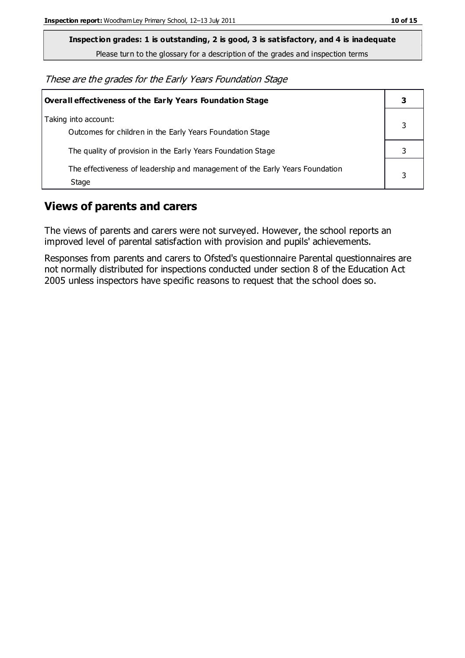Please turn to the glossary for a description of the grades and inspection terms

These are the grades for the Early Years Foundation Stage

| Overall effectiveness of the Early Years Foundation Stage                             |   |
|---------------------------------------------------------------------------------------|---|
| Taking into account:<br>Outcomes for children in the Early Years Foundation Stage     |   |
| The quality of provision in the Early Years Foundation Stage                          |   |
| The effectiveness of leadership and management of the Early Years Foundation<br>Stage | 3 |

#### **Views of parents and carers**

The views of parents and carers were not surveyed. However, the school reports an improved level of parental satisfaction with provision and pupils' achievements.

Responses from parents and carers to Ofsted's questionnaire Parental questionnaires are not normally distributed for inspections conducted under section 8 of the Education Act 2005 unless inspectors have specific reasons to request that the school does so.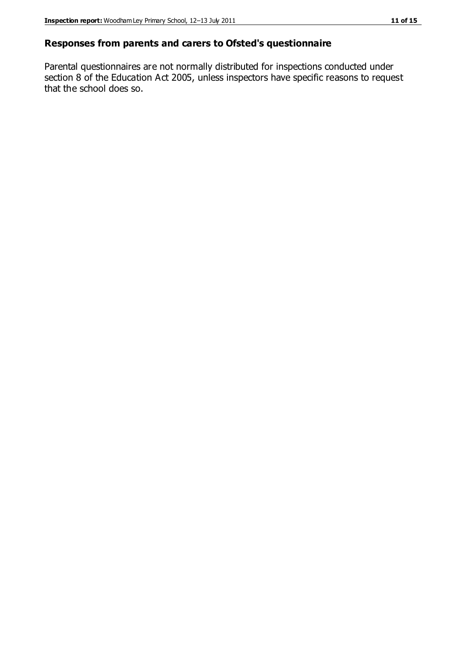#### **Responses from parents and carers to Ofsted's questionnaire**

Parental questionnaires are not normally distributed for inspections conducted under section 8 of the Education Act 2005, unless inspectors have specific reasons to request that the school does so.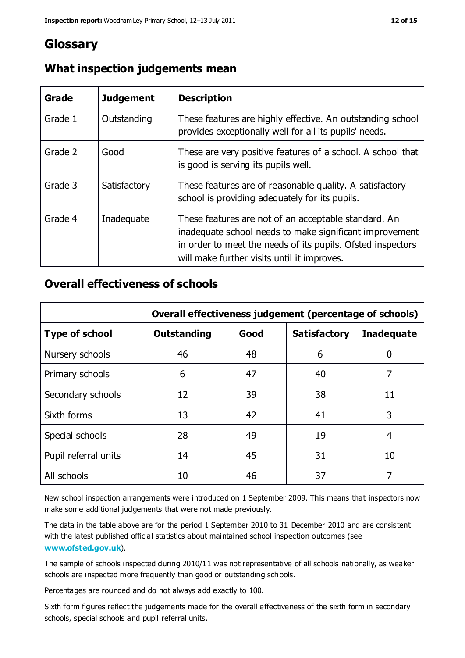# **Glossary**

| Grade   | <b>Judgement</b> | <b>Description</b>                                                                                                                                                                                                            |
|---------|------------------|-------------------------------------------------------------------------------------------------------------------------------------------------------------------------------------------------------------------------------|
| Grade 1 | Outstanding      | These features are highly effective. An outstanding school<br>provides exceptionally well for all its pupils' needs.                                                                                                          |
| Grade 2 | Good             | These are very positive features of a school. A school that<br>is good is serving its pupils well.                                                                                                                            |
| Grade 3 | Satisfactory     | These features are of reasonable quality. A satisfactory<br>school is providing adequately for its pupils.                                                                                                                    |
| Grade 4 | Inadequate       | These features are not of an acceptable standard. An<br>inadequate school needs to make significant improvement<br>in order to meet the needs of its pupils. Ofsted inspectors<br>will make further visits until it improves. |

## **What inspection judgements mean**

## **Overall effectiveness of schools**

|                       | Overall effectiveness judgement (percentage of schools) |      |                     |                   |
|-----------------------|---------------------------------------------------------|------|---------------------|-------------------|
| <b>Type of school</b> | <b>Outstanding</b>                                      | Good | <b>Satisfactory</b> | <b>Inadequate</b> |
| Nursery schools       | 46                                                      | 48   | 6                   | 0                 |
| Primary schools       | 6                                                       | 47   | 40                  | 7                 |
| Secondary schools     | 12                                                      | 39   | 38                  | 11                |
| Sixth forms           | 13                                                      | 42   | 41                  | 3                 |
| Special schools       | 28                                                      | 49   | 19                  | 4                 |
| Pupil referral units  | 14                                                      | 45   | 31                  | 10                |
| All schools           | 10                                                      | 46   | 37                  |                   |

New school inspection arrangements were introduced on 1 September 2009. This means that inspectors now make some additional judgements that were not made previously.

The data in the table above are for the period 1 September 2010 to 31 December 2010 and are consistent with the latest published official statistics about maintained school inspection outcomes (see **[www.ofsted.gov.uk](http://www.ofsted.gov.uk/)**).

The sample of schools inspected during 2010/11 was not representative of all schools nationally, as weaker schools are inspected more frequently than good or outstanding schools.

Percentages are rounded and do not always add exactly to 100.

Sixth form figures reflect the judgements made for the overall effectiveness of the sixth form in secondary schools, special schools and pupil referral units.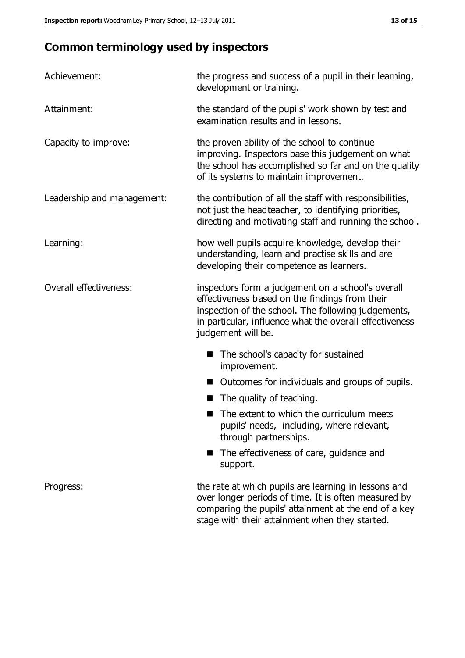# **Common terminology used by inspectors**

| Achievement:               | the progress and success of a pupil in their learning,<br>development or training.                                                                                                                                                          |
|----------------------------|---------------------------------------------------------------------------------------------------------------------------------------------------------------------------------------------------------------------------------------------|
| Attainment:                | the standard of the pupils' work shown by test and<br>examination results and in lessons.                                                                                                                                                   |
| Capacity to improve:       | the proven ability of the school to continue<br>improving. Inspectors base this judgement on what<br>the school has accomplished so far and on the quality<br>of its systems to maintain improvement.                                       |
| Leadership and management: | the contribution of all the staff with responsibilities,<br>not just the headteacher, to identifying priorities,<br>directing and motivating staff and running the school.                                                                  |
| Learning:                  | how well pupils acquire knowledge, develop their<br>understanding, learn and practise skills and are<br>developing their competence as learners.                                                                                            |
| Overall effectiveness:     | inspectors form a judgement on a school's overall<br>effectiveness based on the findings from their<br>inspection of the school. The following judgements,<br>in particular, influence what the overall effectiveness<br>judgement will be. |
|                            | The school's capacity for sustained<br>improvement.                                                                                                                                                                                         |
|                            | Outcomes for individuals and groups of pupils.                                                                                                                                                                                              |
|                            | The quality of teaching.                                                                                                                                                                                                                    |
|                            | The extent to which the curriculum meets<br>pupils' needs, including, where relevant,<br>through partnerships.                                                                                                                              |
|                            | The effectiveness of care, guidance and<br>support.                                                                                                                                                                                         |
| Progress:                  | the rate at which pupils are learning in lessons and<br>over longer periods of time. It is often measured by<br>comparing the pupils' attainment at the end of a key                                                                        |

stage with their attainment when they started.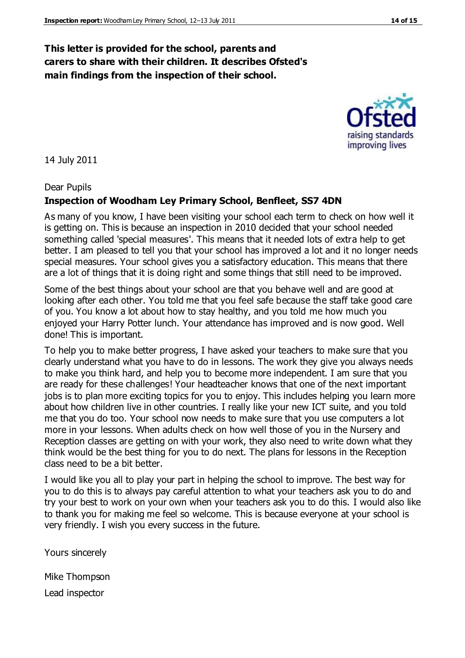#### **This letter is provided for the school, parents and carers to share with their children. It describes Ofsted's main findings from the inspection of their school.**

14 July 2011

#### Dear Pupils

#### **Inspection of Woodham Ley Primary School, Benfleet, SS7 4DN**

As many of you know, I have been visiting your school each term to check on how well it is getting on. This is because an inspection in 2010 decided that your school needed something called 'special measures'. This means that it needed lots of extra help to get better. I am pleased to tell you that your school has improved a lot and it no longer needs special measures. Your school gives you a satisfactory education. This means that there are a lot of things that it is doing right and some things that still need to be improved.

Some of the best things about your school are that you behave well and are good at looking after each other. You told me that you feel safe because the staff take good care of you. You know a lot about how to stay healthy, and you told me how much you enjoyed your Harry Potter lunch. Your attendance has improved and is now good. Well done! This is important.

To help you to make better progress, I have asked your teachers to make sure that you clearly understand what you have to do in lessons. The work they give you always needs to make you think hard, and help you to become more independent. I am sure that you are ready for these challenges! Your headteacher knows that one of the next important jobs is to plan more exciting topics for you to enjoy. This includes helping you learn more about how children live in other countries. I really like your new ICT suite, and you told me that you do too. Your school now needs to make sure that you use computers a lot more in your lessons. When adults check on how well those of you in the Nursery and Reception classes are getting on with your work, they also need to write down what they think would be the best thing for you to do next. The plans for lessons in the Reception class need to be a bit better.

I would like you all to play your part in helping the school to improve. The best way for you to do this is to always pay careful attention to what your teachers ask you to do and try your best to work on your own when your teachers ask you to do this. I would also like to thank you for making me feel so welcome. This is because everyone at your school is very friendly. I wish you every success in the future.

Yours sincerely

Mike Thompson Lead inspector



raising standards improving lives